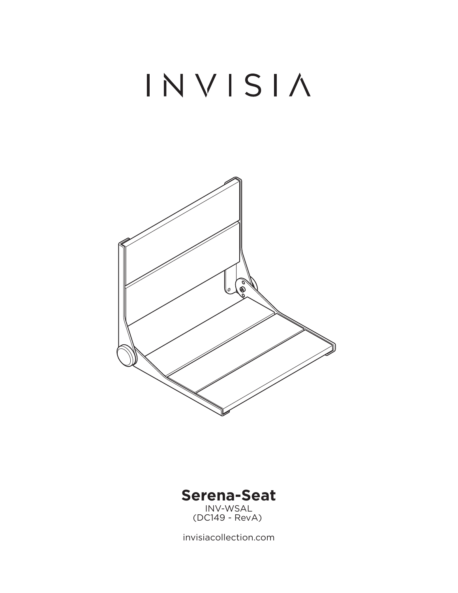# INVISIA





invisiacollection.com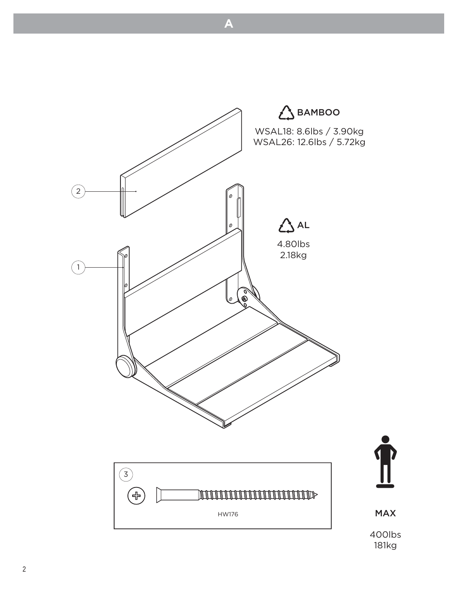

**A**

 $181k<sub>0</sub>$ 181kg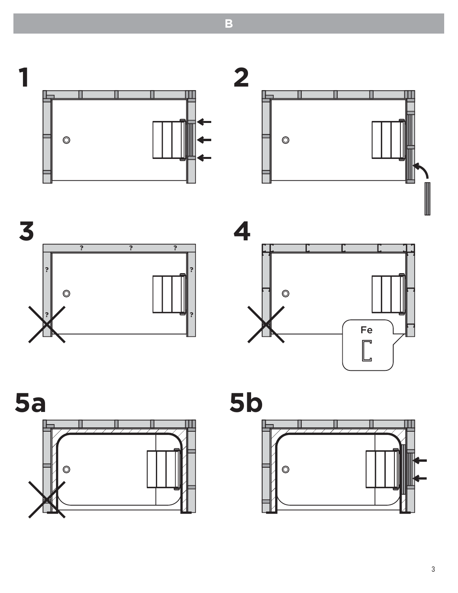$\overline{\mathbf{2}}$ 1 П  $\circledcirc$  $\circledcirc$ 





П



 $\overline{?}$ 

 $\overline{?}$ 

3





 $\overline{\mathbf{B}}$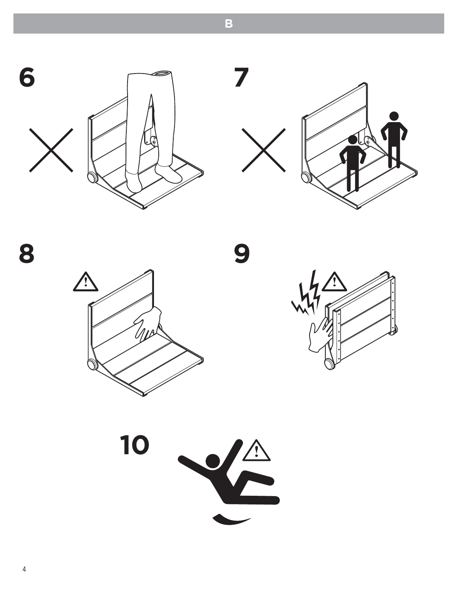











**B**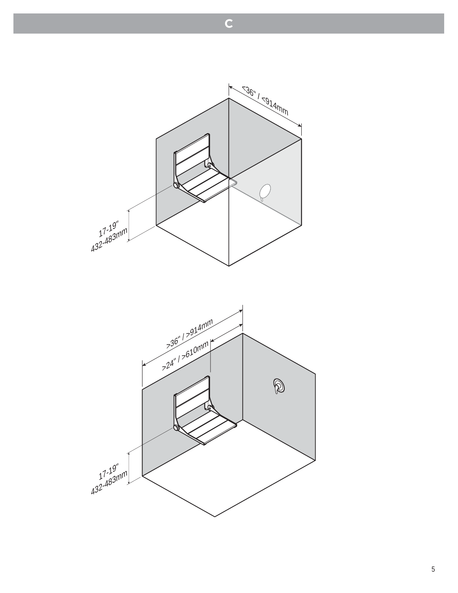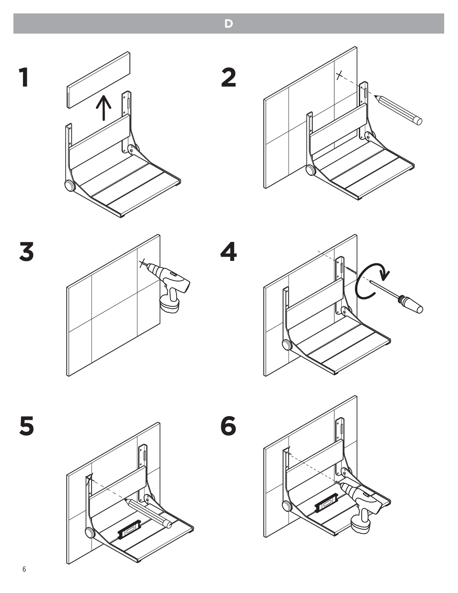

**D**









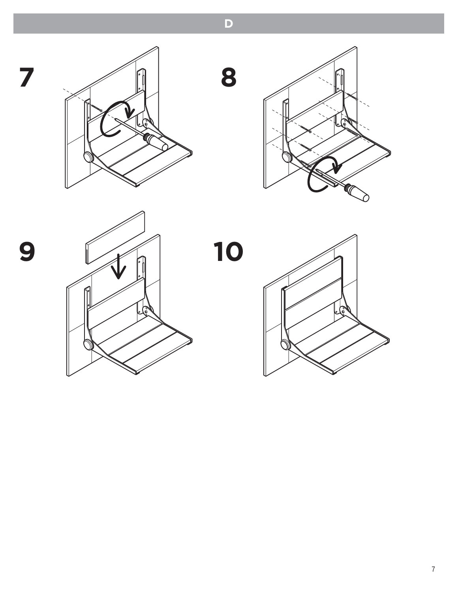





**D**

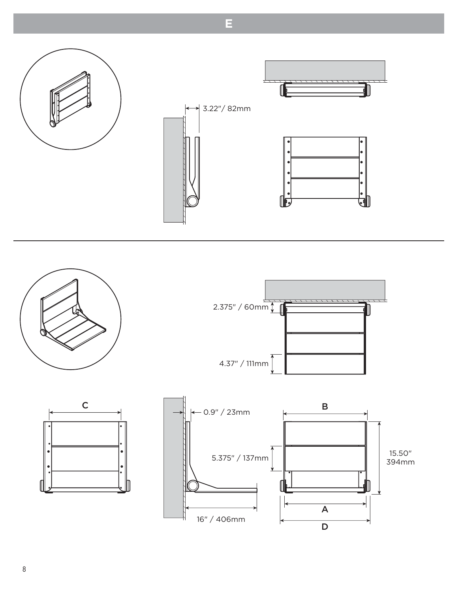

**E**



16" / 406mm

D

A

ľ



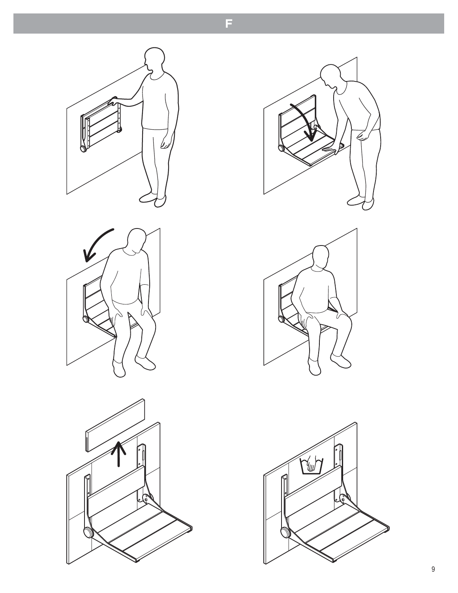











F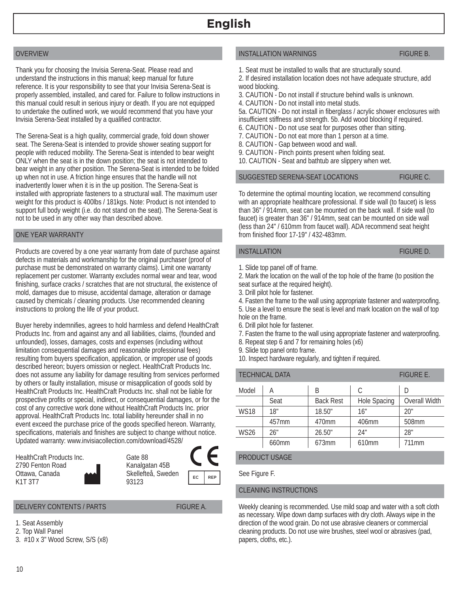## **English**

## OVERVIEW

Thank you for choosing the Invisia Serena-Seat. Please read and understand the instructions in this manual; keep manual for future reference. It is your responsibility to see that your Invisia Serena-Seat is properly assembled, installed, and cared for. Failure to follow instructions in this manual could result in serious injury or death. If you are not equipped to undertake the outlined work, we would recommend that you have your Invisia Serena-Seat installed by a qualified contractor.

The Serena-Seat is a high quality, commercial grade, fold down shower seat. The Serena-Seat is intended to provide shower seating support for people with reduced mobility. The Serena-Seat is intended to bear weight ONLY when the seat is in the down position; the seat is not intended to bear weight in any other position. The Serena-Seat is intended to be folded up when not in use. A friction hinge ensures that the handle will not inadvertently lower when it is in the up position. The Serena-Seat is installed with appropriate fasteners to a structural wall. The maximum user weight for this product is 400lbs / 181kgs. Note: Product is not intended to support full body weight (i.e. do not stand on the seat). The Serena-Seat is not to be used in any other way than described above.

#### ONE YEAR WARRANTY

Products are covered by a one year warranty from date of purchase against defects in materials and workmanship for the original purchaser (proof of purchase must be demonstrated on warranty claims). Limit one warranty replacement per customer. Warranty excludes normal wear and tear, wood finishing, surface cracks / scratches that are not structural, the existence of mold, damages due to misuse, accidental damage, alteration or damage caused by chemicals / cleaning products. Use recommended cleaning instructions to prolong the life of your product.

Buyer hereby indemnifies, agrees to hold harmless and defend HealthCraft Products Inc. from and against any and all liabilities, claims, (founded and unfounded), losses, damages, costs and expenses (including without limitation consequential damages and reasonable professional fees) resulting from buyers specification, application, or improper use of goods described hereon; buyers omission or neglect. HealthCraft Products Inc. does not assume any liability for damage resulting from services performed by others or faulty installation, misuse or misapplication of goods sold by HealthCraft Products Inc. HealthCraft Products Inc. shall not be liable for prospective profits or special, indirect, or consequential damages, or for the cost of any corrective work done without HealthCraft Products Inc. prior approval. HealthCraft Products Inc. total liability hereunder shall in no event exceed the purchase price of the goods specified hereon. Warranty, specifications, materials and finishes are subject to change without notice. Updated warranty: www.invisiacollection.com/download/4528/

> Gate 88 Kanalgatan 45B Skellefteå, Sweden

93123

HealthCraft Products Inc. 2790 Fenton Road Ottawa, Canada K1T 3T7

DELIVERY CONTENTS / PARTS FIGURE A.

EC REP

- 1. Seat Assembly
- 2. Top Wall Panel
- 3. #10 x 3" Wood Screw, S/S (x8)

#### INSTALLATION WARNINGS FIGURE B.

- 1. Seat must be installed to walls that are structurally sound.
- 2. If desired installation location does not have adequate structure, add wood blocking.
- 3. CAUTION Do not install if structure behind walls is unknown.
- 4. CAUTION Do not install into metal studs.

5a. CAUTION - Do not install in fiberglass / acrylic shower enclosures with insufficient stiffness and strength. 5b. Add wood blocking if required.

- 6. CAUTION Do not use seat for purposes other than sitting.
- 7. CAUTION Do not eat more than 1 person at a time.
- 8. CAUTION Gap between wood and wall.
- 9. CAUTION Pinch points present when folding seat.
- 10. CAUTION Seat and bathtub are slippery when wet.

#### SUGGESTED SERENA-SEAT LOCATIONS FIGURE C.

To determine the optimal mounting location, we recommend consulting with an appropriate healthcare professional. If side wall (to faucet) is less than 36" / 914mm, seat can be mounted on the back wall. If side wall (to faucet) is greater than 36" / 914mm, seat can be mounted on side wall (less than 24" / 610mm from faucet wall). ADA recommend seat height from finished floor 17-19" / 432-483mm.

#### INSTALLATION **FIGURE D.**

1. Slide top panel off of frame.

2. Mark the location on the wall of the top hole of the frame (to position the seat surface at the required height).

3. Drill pilot hole for fastener.

4. Fasten the frame to the wall using appropriate fastener and waterproofing. 5. Use a level to ensure the seat is level and mark location on the wall of top hole on the frame.

- 6. Drill pilot hole for fastener.
- 7. Fasten the frame to the wall using appropriate fastener and waterproofing.
- 8. Repeat step 6 and 7 for remaining holes (x6)
- 9. Slide top panel onto frame.
- 10. Inspect hardware regularly, and tighten if required.

| <b>TECHNICAL DATA</b> | <b>FIGURE E.</b> |                  |                     |               |
|-----------------------|------------------|------------------|---------------------|---------------|
| Model                 | А                | B                | C                   | D             |
|                       | Seat             | <b>Back Rest</b> | <b>Hole Spacing</b> | Overall Width |
| <b>WS18</b>           | 18"              | 18.50"           | 16"                 | 20"           |
|                       | 457mm            | 470mm            | 406mm               | 508mm         |
| <b>WS26</b>           | 26"              | 26.50"           | 24"                 | 28"           |
|                       | 660mm            | 673mm            | 610mm               | 711mm         |

PRODUCT USAGE

See Figure F.

#### CLEANING INSTRUCTIONS

Weekly cleaning is recommended. Use mild soap and water with a soft cloth as necessary. Wipe down damp surfaces with dry cloth. Always wipe in the direction of the wood grain. Do not use abrasive cleaners or commercial cleaning products. Do not use wire brushes, steel wool or abrasives (pad, papers, cloths, etc.).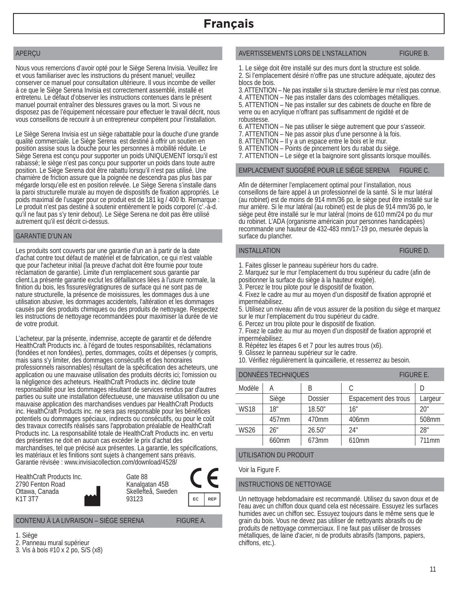## APERÇU

Nous vous remercions d'avoir opté pour le Siège Serena Invisia. Veuillez lire et vous familiariser avec les instructions du présent manuel; veuillez conserver ce manuel pour consultation ultérieure. Il vous incombe de veiller à ce que le Siège Serena Invisia est correctement assemblé, installé et entretenu. Le défaut d'observer les instructions contenues dans le présent manuel pourrait entraîner des blessures graves ou la mort. Si vous ne disposez pas de l'équipement nécessaire pour effectuer le travail décrit, nous vous conseillons de recourir à un entrepreneur compétent pour l'installation.

Le Siège Serena Invisia est un siège rabattable pour la douche d'une grande qualité commerciale. Le Siège Serena est destiné à offrir un soutien en position assise sous la douche pour les personnes à mobilité réduite. Le Siège Serena est conçu pour supporter un poids UNIQUEMENT lorsqu'il est rabaissé; le siège n'est pas conçu pour supporter un poids dans toute autre position. Le Siège Serena doit être rabattu lorsqu'il n'est pas utilisé. Une charnière de friction assure que la poignée ne descendra pas plus bas par mégarde lorsqu'elle est en position relevée. Le Siège Serena s'installe dans la paroi structurelle murale au moyen de dispositifs de fixation appropriés. Le poids maximal de l'usager pour ce produit est de 181 kg / 400 lb. Remarque : Le produit n'est pas destiné à soutenir entièrement le poids corporel (c'.-à-d. qu'il ne faut pas s'y tenir debout). Le Siège Serena ne doit pas être utilisé autrement qu'il est décrit ci-dessus.

#### GARANTIE D'UN AN

Les produits sont couverts par une garantie d'un an à partir de la date d'achat contre tout défaut de matériel et de fabrication, ce qui n'est valable que pour l'acheteur initial (la preuve d'achat doit être fournie pour toute réclamation de garantie). Limite d'un remplacement sous garantie par client.La présente garantie exclut les défaillances liées à l'usure normale, la finition du bois, les fissures/égratignures de surface qui ne sont pas de nature structurelle, la présence de moisissures, les dommages dus à une utilisation abusive, les dommages accidentels, l'altération et les dommages causés par des produits chimiques ou des produits de nettoyage. Respectez les instructions de nettoyage recommandées pour maximiser la durée de vie de votre produit.

L'acheteur, par la présente, indemnise, accepte de garantir et de défendre HealthCraft Products inc. à l'égard de toutes responsabilités, réclamations (fondées et non fondées), pertes, dommages, coûts et dépenses (y compris, mais sans s'y limiter, des dommages consécutifs et des honoraires professionnels raisonnables) résultant de la spécification des acheteurs, une application ou une mauvaise utilisation des produits décrits ici; l'omission ou la négligence des acheteurs. HealthCraft Products inc. décline toute responsabilité pour les dommages résultant de services rendus par d'autres parties ou suite une installation défectueuse, une mauvaise utilisation ou une mauvaise application des marchandises vendues par HealthCraft Products inc. HealthCraft Products inc. ne sera pas responsable pour les bénéfices potentiels ou dommages spéciaux, indirects ou consécutifs, ou pour le coût des travaux correctifs réalisés sans l'approbation préalable de HealthCraft Products inc. La responsabilité totale de HealthCraft Products inc. en vertu des présentes ne doit en aucun cas excéder le prix d'achat des marchandises, tel que précisé aux présentes. La garantie, les spécifications, les matériaux et les finitions sont sujets à changement sans préavis. Garantie révisée : www.invisiacollection.com/download/4528/

| HealthCraft Products Inc.<br>2790 Fenton Road<br>Ottawa, Canada | Gate 88<br>Kanalgatan 45B<br>Skellefteå, Sweden |    |     |
|-----------------------------------------------------------------|-------------------------------------------------|----|-----|
| K <sub>1</sub> T <sub>3</sub> T <sub>7</sub>                    | 93123                                           | EC | RFP |

#### CONTENU À LA LIVRAISON – SIÈGE SERENA FIGURE A.

- 1. Siège
- 2. Panneau mural supérieur
- 3. Vis à bois #10 x 2 po, S/S (x8)

## AVERTISSEMENTS LORS DE L'NSTALLATION FIGURE B.

1. Le siège doit être installé sur des murs dont la structure est solide. 2. Si l'emplacement désiré n'offre pas une structure adéquate, ajoutez des blocs de bois.

3. ATTENTION – Ne pas installer si la structure derrière le mur n'est pas connue. 4. ATTENTION – Ne pas installer dans des colombages métalliques.

5. ATTENTION – Ne pas installer sur des cabinets de douche en fibre de verre ou en acrylique n'offrant pas suffisamment de rigidité et de robustesse.

6. ATTENTION – Ne pas utiliser le siège autrement que pour s'asseoir.

- 7. ATTENTION Ne pas assoir plus d'une personne à la fois.
- 8. ATTENTION Il y a un espace entre le bois et le mur.
- 9. ATTENTION Points de pincement lors du rabat du siège.
- 7. ATTENTION Le siège et la baignoire sont glissants lorsque mouillés.

#### EMPLACEMENT SUGGÉRÉ POUR LE SIÈGE SERENA FIGURE C.

Afin de déterminer l'emplacement optimal pour l'installation, nous conseillons de faire appel à un professionnel de la santé. Si le mur latéral (au robinet) est de moins de 914 mm/36 po, le siège peut être installé sur le mur arrière. Si le mur latéral (au robinet) est de plus de 914 mm/36 po, le siège peut être installé sur le mur latéral (moins de 610 mm/24 po du mur du robinet. L'ADA (organisme américain pour personnes handicapées) recommande une hauteur de 432-483 mm/17-19 po, mesurée depuis la surface du plancher.

#### INSTALLATION **FIGURE D.**

- 1. Faites glisser le panneau supérieur hors du cadre.
- 2. Marquez sur le mur l'emplacement du trou supérieur du cadre (afin de positionner la surface du siège à la hauteur exigée).
- 3. Percez le trou pilote pour le dispositif de fixation.

4. Fixez le cadre au mur au moyen d'un dispositif de fixation approprié et imperméabilisez.

5. Utilisez un niveau afin de vous assurer de la position du siège et marquez sur le mur l'emplacement du trou supérieur du cadre.

6. Percez un trou pilote pour le dispositif de fixation.

7. Fixez le cadre au mur au moyen d'un dispositif de fixation approprié et imperméabilisez.

8. Répétez les étapes 6 et 7 pour les autres trous (x6).

9. Glissez le panneau supérieur sur le cadre.

10. Vérifiez régulièrement la quincaillerie, et resserrez au besoin.

| <b>DONNÉES TECHNIQUES</b> |       |                | <b>FIGURE E.</b>     |                   |  |
|---------------------------|-------|----------------|----------------------|-------------------|--|
| Modèle                    | А     | R              | С                    |                   |  |
|                           | Siège | <b>Dossier</b> | Espacement des trous | Largeur           |  |
| <b>WS18</b>               | 18"   | 18.50"         | 16"                  | 20"               |  |
|                           | 457mm | 470mm          | 406mm                | 508mm             |  |
| <b>WS26</b>               | 26"   | 26.50"         | 24"                  | 28"               |  |
|                           | 660mm | 673mm          | 610 <sub>mm</sub>    | 711 <sub>mm</sub> |  |

#### UTILISATION DU PRODUIT

Voir la Figure F.

#### INSTRUCTIONS DE NETTOYAGE

Un nettoyage hebdomadaire est recommandé. Utilisez du savon doux et de l'eau avec un chiffon doux quand cela est nécessaire. Essuyez les surfaces humides avec un chiffon sec. Essuyez toujours dans le même sens que le grain du bois. Vous ne devez pas utiliser de nettoyants abrasifs ou de produits de nettoyage commerciaux. Il ne faut pas utiliser de brosses métalliques, de laine d'acier, ni de produits abrasifs (tampons, papiers, chiffons, etc.).